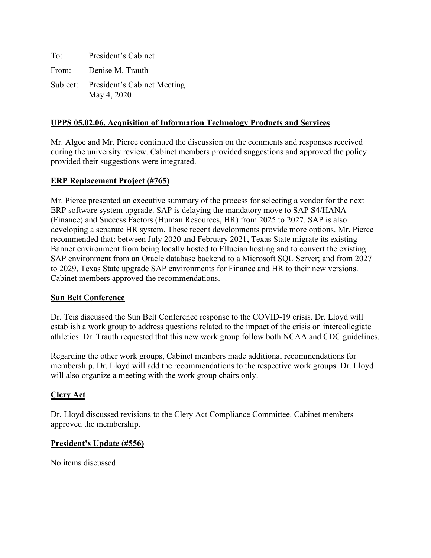To: President's Cabinet From: Denise M. Trauth Subject: President's Cabinet Meeting May 4, 2020

## **UPPS 05.02.06, Acquisition of Information Technology Products and Services**

Mr. Algoe and Mr. Pierce continued the discussion on the comments and responses received during the university review. Cabinet members provided suggestions and approved the policy provided their suggestions were integrated.

### **ERP Replacement Project (#765)**

Mr. Pierce presented an executive summary of the process for selecting a vendor for the next ERP software system upgrade. SAP is delaying the mandatory move to SAP S4/HANA (Finance) and Success Factors (Human Resources, HR) from 2025 to 2027. SAP is also developing a separate HR system. These recent developments provide more options. Mr. Pierce recommended that: between July 2020 and February 2021, Texas State migrate its existing Banner environment from being locally hosted to Ellucian hosting and to convert the existing SAP environment from an Oracle database backend to a Microsoft SQL Server; and from 2027 to 2029, Texas State upgrade SAP environments for Finance and HR to their new versions. Cabinet members approved the recommendations.

#### **Sun Belt Conference**

Dr. Teis discussed the Sun Belt Conference response to the COVID-19 crisis. Dr. Lloyd will establish a work group to address questions related to the impact of the crisis on intercollegiate athletics. Dr. Trauth requested that this new work group follow both NCAA and CDC guidelines.

Regarding the other work groups, Cabinet members made additional recommendations for membership. Dr. Lloyd will add the recommendations to the respective work groups. Dr. Lloyd will also organize a meeting with the work group chairs only.

### **Clery Act**

Dr. Lloyd discussed revisions to the Clery Act Compliance Committee. Cabinet members approved the membership.

### **President's Update (#556)**

No items discussed.